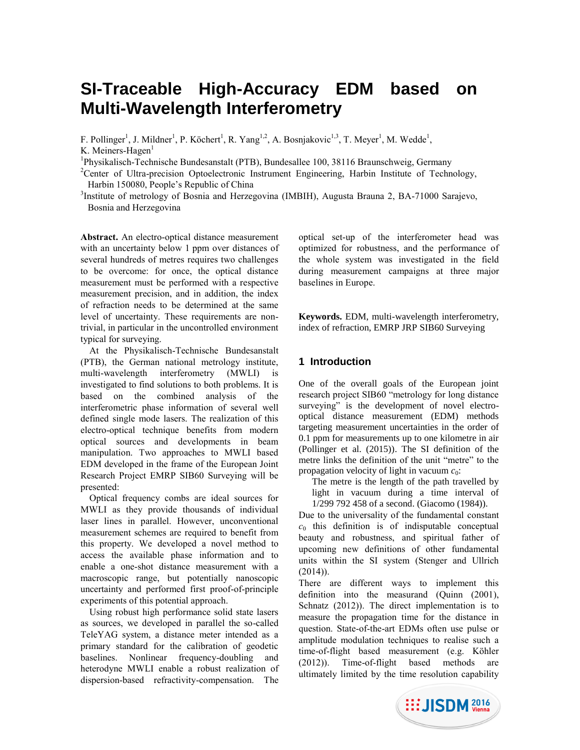# **SI-Traceable High-Accuracy EDM based on Multi-Wavelength Interferometry**

F. Pollinger<sup>1</sup>, J. Mildner<sup>1</sup>, P. Köchert<sup>1</sup>, R. Yang<sup>1,2</sup>, A. Bosnjakovic<sup>1,3</sup>, T. Meyer<sup>1</sup>, M. Wedde<sup>1</sup>,

K. Meiners-Hagen $<sup>1</sup>$ </sup>

<sup>1</sup>Physikalisch-Technische Bundesanstalt (PTB), Bundesallee 100, 38116 Braunschweig, Germany

<sup>2</sup>Center of Ultra-precision Optoelectronic Instrument Engineering, Harbin Institute of Technology, Harbin 150080, People's Republic of China

<sup>3</sup>Institute of metrology of Bosnia and Herzegovina (IMBIH), Augusta Brauna 2, BA-71000 Sarajevo, Bosnia and Herzegovina

**Abstract.** An electro-optical distance measurement with an uncertainty below 1 ppm over distances of several hundreds of metres requires two challenges to be overcome: for once, the optical distance measurement must be performed with a respective measurement precision, and in addition, the index of refraction needs to be determined at the same level of uncertainty. These requirements are nontrivial, in particular in the uncontrolled environment typical for surveying.

At the Physikalisch-Technische Bundesanstalt (PTB), the German national metrology institute, multi-wavelength interferometry (MWLI) is investigated to find solutions to both problems. It is based on the combined analysis of the interferometric phase information of several well defined single mode lasers. The realization of this electro-optical technique benefits from modern optical sources and developments in beam manipulation. Two approaches to MWLI based EDM developed in the frame of the European Joint Research Project EMRP SIB60 Surveying will be presented:

Optical frequency combs are ideal sources for MWLI as they provide thousands of individual laser lines in parallel. However, unconventional measurement schemes are required to benefit from this property. We developed a novel method to access the available phase information and to enable a one-shot distance measurement with a macroscopic range, but potentially nanoscopic uncertainty and performed first proof-of-principle experiments of this potential approach.

Using robust high performance solid state lasers as sources, we developed in parallel the so-called TeleYAG system, a distance meter intended as a primary standard for the calibration of geodetic baselines. Nonlinear frequency-doubling and heterodyne MWLI enable a robust realization of dispersion-based refractivity-compensation. The optical set-up of the interferometer head was optimized for robustness, and the performance of the whole system was investigated in the field during measurement campaigns at three major baselines in Europe.

**Keywords.** EDM, multi-wavelength interferometry, index of refraction, EMRP JRP SIB60 Surveying

## **1 Introduction**

One of the overall goals of the European joint research project SIB60 "metrology for long distance surveying" is the development of novel electrooptical distance measurement (EDM) methods targeting measurement uncertainties in the order of 0.1 ppm for measurements up to one kilometre in air (Pollinger et al. (2015)). The SI definition of the metre links the definition of the unit "metre" to the propagation velocity of light in vacuum *c*0:

The metre is the length of the path travelled by light in vacuum during a time interval of 1/299 792 458 of a second. (Giacomo (1984)).

Due to the universality of the fundamental constant  $c_0$  this definition is of indisputable conceptual beauty and robustness, and spiritual father of upcoming new definitions of other fundamental units within the SI system (Stenger and Ullrich  $(2014)$ ).

There are different ways to implement this definition into the measurand (Quinn (2001), Schnatz (2012)). The direct implementation is to measure the propagation time for the distance in question. State-of-the-art EDMs often use pulse or amplitude modulation techniques to realise such a time-of-flight based measurement (e.g. Köhler (2012)). Time-of-flight based methods are ultimately limited by the time resolution capability

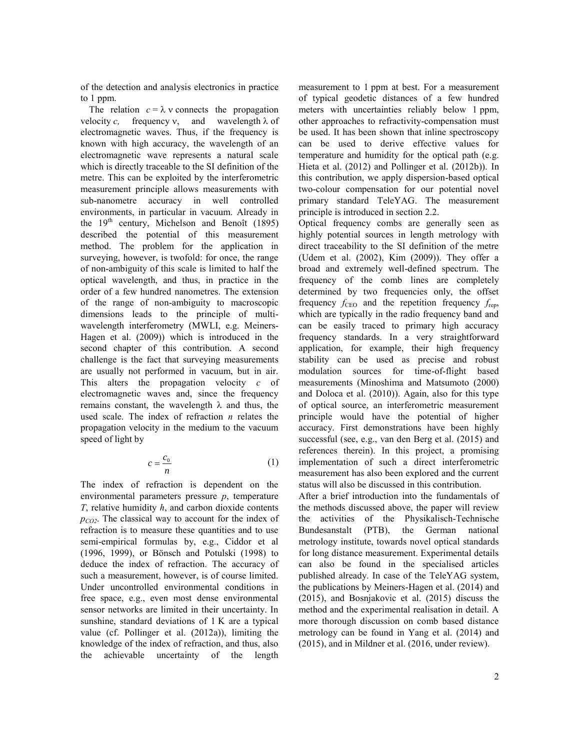of the detection and analysis electronics in practice to 1 ppm.

The relation  $c = \lambda$  v connects the propagation velocity *c*, frequency  $v$ , and wavelength  $\lambda$  of electromagnetic waves. Thus, if the frequency is known with high accuracy, the wavelength of an electromagnetic wave represents a natural scale which is directly traceable to the SI definition of the metre. This can be exploited by the interferometric measurement principle allows measurements with sub-nanometre accuracy in well controlled environments, in particular in vacuum. Already in the  $19<sup>th</sup>$  century, Michelson and Benoît (1895) described the potential of this measurement method. The problem for the application in surveying, however, is twofold: for once, the range of non-ambiguity of this scale is limited to half the optical wavelength, and thus, in practice in the order of a few hundred nanometres. The extension of the range of non-ambiguity to macroscopic dimensions leads to the principle of multiwavelength interferometry (MWLI, e.g. Meiners-Hagen et al. (2009)) which is introduced in the second chapter of this contribution. A second challenge is the fact that surveying measurements are usually not performed in vacuum, but in air. This alters the propagation velocity *c* of electromagnetic waves and, since the frequency remains constant, the wavelength  $\lambda$  and thus, the used scale. The index of refraction *n* relates the propagation velocity in the medium to the vacuum speed of light by

$$
c = \frac{c_0}{n} \tag{1}
$$

The index of refraction is dependent on the environmental parameters pressure *p*, temperature *T*, relative humidity *h*, and carbon dioxide contents *pCO2*. The classical way to account for the index of refraction is to measure these quantities and to use semi-empirical formulas by, e.g., Ciddor et al (1996, 1999), or Bönsch and Potulski (1998) to deduce the index of refraction. The accuracy of such a measurement, however, is of course limited. Under uncontrolled environmental conditions in free space, e.g., even most dense environmental sensor networks are limited in their uncertainty. In sunshine, standard deviations of 1 K are a typical value (cf. Pollinger et al. (2012a)), limiting the knowledge of the index of refraction, and thus, also the achievable uncertainty of the length

measurement to 1 ppm at best. For a measurement of typical geodetic distances of a few hundred meters with uncertainties reliably below 1 ppm, other approaches to refractivity-compensation must be used. It has been shown that inline spectroscopy can be used to derive effective values for temperature and humidity for the optical path (e.g. Hieta et al. (2012) and Pollinger et al. (2012b)). In this contribution, we apply dispersion-based optical two-colour compensation for our potential novel primary standard TeleYAG. The measurement principle is introduced in section 2.2.

Optical frequency combs are generally seen as highly potential sources in length metrology with direct traceability to the SI definition of the metre (Udem et al. (2002), Kim (2009)). They offer a broad and extremely well-defined spectrum. The frequency of the comb lines are completely determined by two frequencies only, the offset frequency  $f_{\text{CEO}}$  and the repetition frequency  $f_{\text{reb}}$ , which are typically in the radio frequency band and can be easily traced to primary high accuracy frequency standards. In a very straightforward application, for example, their high frequency stability can be used as precise and robust modulation sources for time-of-flight based measurements (Minoshima and Matsumoto (2000) and Doloca et al. (2010)). Again, also for this type of optical source, an interferometric measurement principle would have the potential of higher accuracy. First demonstrations have been highly successful (see, e.g., van den Berg et al. (2015) and references therein). In this project, a promising implementation of such a direct interferometric measurement has also been explored and the current status will also be discussed in this contribution.

After a brief introduction into the fundamentals of the methods discussed above, the paper will review the activities of the Physikalisch-Technische Bundesanstalt (PTB), the German national metrology institute, towards novel optical standards for long distance measurement. Experimental details can also be found in the specialised articles published already. In case of the TeleYAG system, the publications by Meiners-Hagen et al. (2014) and (2015), and Bosnjakovic et al. (2015) discuss the method and the experimental realisation in detail. A more thorough discussion on comb based distance metrology can be found in Yang et al. (2014) and (2015), and in Mildner et al. (2016, under review).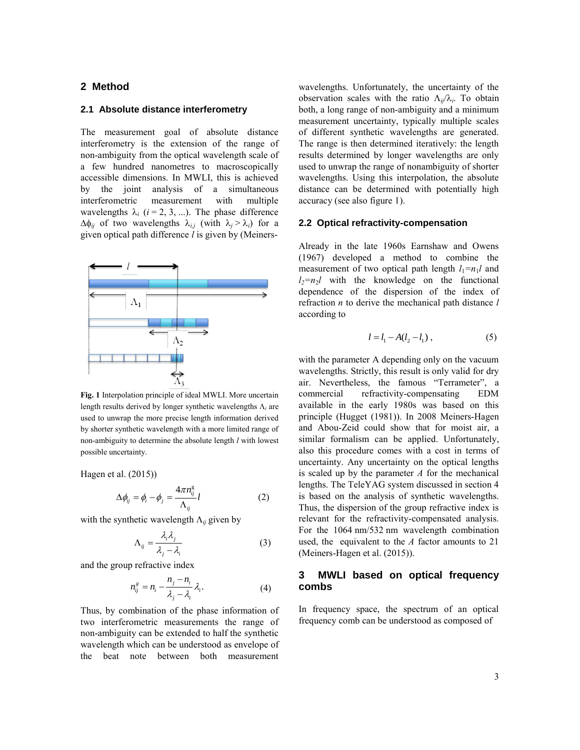## **2 Method**

#### **2.1 Absolute distance interferometry**

The measurement goal of absolute distance interferometry is the extension of the range of non-ambiguity from the optical wavelength scale of a few hundred nanometres to macroscopically accessible dimensions. In MWLI, this is achieved by the joint analysis of a simultaneous interferometric measurement with multiple wavelengths  $\lambda_i$  ( $i = 2, 3, ...$ ). The phase difference  $\Delta \phi_{ij}$  of two wavelengths  $\lambda_{i,j}$  (with  $\lambda_j > \lambda_i$ ) for a given optical path difference *l* is given by (Meiners-



**Fig. 1** Interpolation principle of ideal MWLI. More uncertain length results derived by longer synthetic wavelengths  $\Lambda_i$  are used to unwrap the more precise length information derived by shorter synthetic wavelength with a more limited range of non-ambiguity to determine the absolute length *l* with lowest possible uncertainty.

Hagen et al. (2015))

$$
\Delta \phi_{ij} = \phi_i - \phi_j = \frac{4\pi n_{ij}^{\rm g}}{\Lambda_{ij}} l \tag{2}
$$

with the synthetic wavelength  $\Lambda_{ij}$  given by

$$
\Lambda_{ij} = \frac{\lambda_i \lambda_j}{\lambda_j - \lambda_i} \tag{3}
$$

and the group refractive index

$$
n_{ij}^s = n_i - \frac{n_j - n_i}{\lambda_j - \lambda_i} \lambda_i.
$$
 (4)

Thus, by combination of the phase information of two interferometric measurements the range of non-ambiguity can be extended to half the synthetic wavelength which can be understood as envelope of the beat note between both measurement

wavelengths. Unfortunately, the uncertainty of the observation scales with the ratio  $\Lambda_{ij}/\lambda_i$ . To obtain both, a long range of non-ambiguity and a minimum measurement uncertainty, typically multiple scales of different synthetic wavelengths are generated. The range is then determined iteratively: the length results determined by longer wavelengths are only used to unwrap the range of nonambiguity of shorter wavelengths. Using this interpolation, the absolute distance can be determined with potentially high accuracy (see also figure 1).

#### **2.2 Optical refractivity-compensation**

Already in the late 1960s Earnshaw and Owens (1967) developed a method to combine the measurement of two optical path length  $l_1 = n_1 l$  and  $l_2 = n_2 l$  with the knowledge on the functional dependence of the dispersion of the index of refraction *n* to derive the mechanical path distance *l* according to

$$
l = l_1 - A(l_2 - l_1), \tag{5}
$$

with the parameter A depending only on the vacuum wavelengths. Strictly, this result is only valid for dry air. Nevertheless, the famous "Terrameter", a commercial refractivity-compensating EDM available in the early 1980s was based on this principle (Hugget (1981)). In 2008 Meiners-Hagen and Abou-Zeid could show that for moist air, a similar formalism can be applied. Unfortunately, also this procedure comes with a cost in terms of uncertainty. Any uncertainty on the optical lengths is scaled up by the parameter *A* for the mechanical lengths. The TeleYAG system discussed in section 4 is based on the analysis of synthetic wavelengths. Thus, the dispersion of the group refractive index is relevant for the refractivity-compensated analysis. For the 1064 nm/532 nm wavelength combination used, the equivalent to the *A* factor amounts to 21 (Meiners-Hagen et al. (2015)).

## **3 MWLI based on optical frequency combs**

In frequency space, the spectrum of an optical frequency comb can be understood as composed of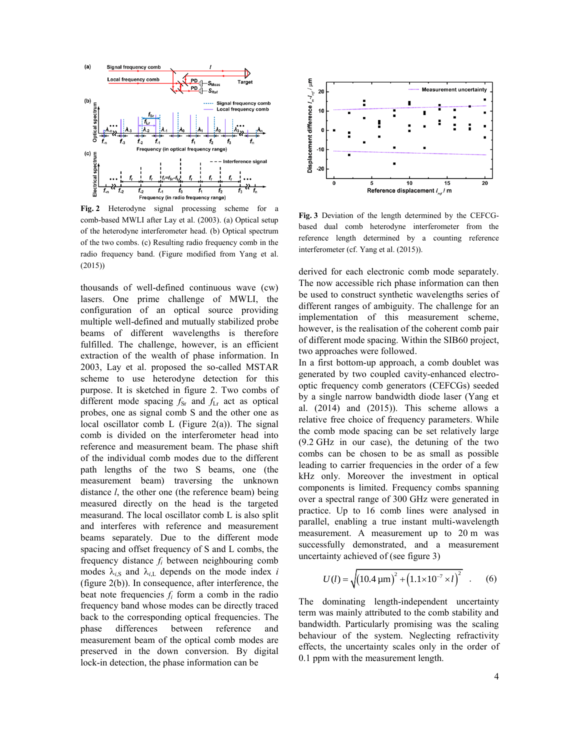

**Fig. 2** Heterodyne signal processing scheme for a comb-based MWLI after Lay et al. (2003). (a) Optical setup of the heterodyne interferometer head. (b) Optical spectrum of the two combs. (c) Resulting radio frequency comb in the radio frequency band. (Figure modified from Yang et al. (2015))

thousands of well-defined continuous wave (cw) lasers. One prime challenge of MWLI, the configuration of an optical source providing multiple well-defined and mutually stabilized probe beams of different wavelengths is therefore fulfilled. The challenge, however, is an efficient extraction of the wealth of phase information. In 2003, Lay et al. proposed the so-called MSTAR scheme to use heterodyne detection for this purpose. It is sketched in figure 2. Two combs of different mode spacing  $f_{\text{Sr}}$  and  $f_{\text{Lr}}$  act as optical probes, one as signal comb S and the other one as local oscillator comb L (Figure  $2(a)$ ). The signal comb is divided on the interferometer head into reference and measurement beam. The phase shift of the individual comb modes due to the different path lengths of the two S beams, one (the measurement beam) traversing the unknown distance *l*, the other one (the reference beam) being measured directly on the head is the targeted measurand. The local oscillator comb L is also split and interferes with reference and measurement beams separately. Due to the different mode spacing and offset frequency of S and L combs, the frequency distance *f<sup>i</sup>* between neighbouring comb modes  $\lambda_{iS}$  and  $\lambda_{iL}$  depends on the mode index *i* (figure 2(b)). In consequence, after interference, the beat note frequencies  $f_i$  form a comb in the radio frequency band whose modes can be directly traced back to the corresponding optical frequencies. The phase differences between reference and measurement beam of the optical comb modes are preserved in the down conversion. By digital lock-in detection, the phase information can be



**Fig. 3** Deviation of the length determined by the CEFCGbased dual comb heterodyne interferometer from the reference length determined by a counting reference interferometer (cf. Yang et al. (2015)).

derived for each electronic comb mode separately. The now accessible rich phase information can then be used to construct synthetic wavelengths series of different ranges of ambiguity. The challenge for an implementation of this measurement scheme, however, is the realisation of the coherent comb pair of different mode spacing. Within the SIB60 project, two approaches were followed.

In a first bottom-up approach, a comb doublet was generated by two coupled cavity-enhanced electrooptic frequency comb generators (CEFCGs) seeded by a single narrow bandwidth diode laser (Yang et al. (2014) and (2015)). This scheme allows a relative free choice of frequency parameters. While the comb mode spacing can be set relatively large (9.2 GHz in our case), the detuning of the two combs can be chosen to be as small as possible leading to carrier frequencies in the order of a few kHz only. Moreover the investment in optical components is limited. Frequency combs spanning over a spectral range of 300 GHz were generated in practice. Up to 16 comb lines were analysed in parallel, enabling a true instant multi-wavelength measurement. A measurement up to 20 m was successfully demonstrated, and a measurement uncertainty achieved of (see figure 3)

$$
U(l) = \sqrt{(10.4 \,\mathrm{\mu m})^2 + (1.1 \times 10^{-7} \times l)^2}
$$
 (6)

The dominating length-independent uncertainty term was mainly attributed to the comb stability and bandwidth. Particularly promising was the scaling behaviour of the system. Neglecting refractivity effects, the uncertainty scales only in the order of 0.1 ppm with the measurement length.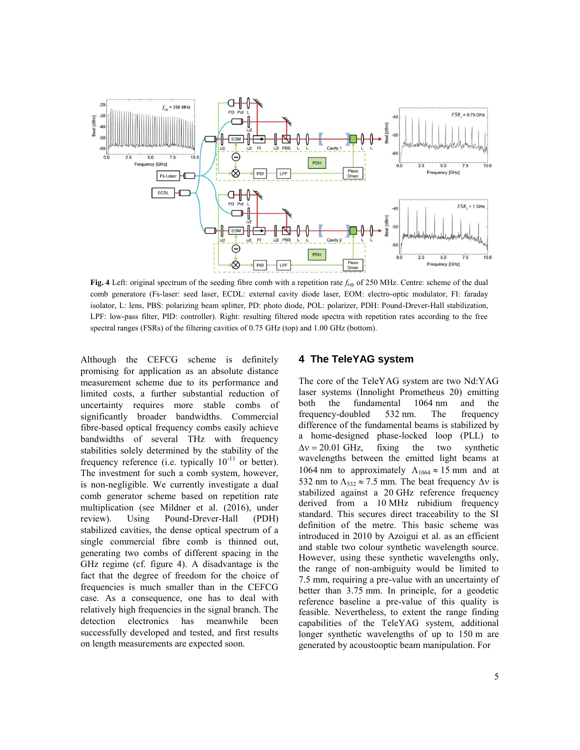

**Fig. 4** Left: original spectrum of the seeding fibre comb with a repetition rate *f*rep of 250 MHz. Centre: scheme of the dual comb generatore (Fs-laser: seed laser, ECDL: external cavity diode laser, EOM: electro-optic modulator, FI: faraday isolator, L: lens, PBS: polarizing beam splitter, PD: photo diode, POL: polarizer, PDH: Pound-Drever-Hall stabilization, LPF: low-pass filter, PID: controller). Right: resulting filtered mode spectra with repetition rates according to the free spectral ranges (FSRs) of the filtering cavities of 0.75 GHz (top) and 1.00 GHz (bottom).

Although the CEFCG scheme is definitely promising for application as an absolute distance measurement scheme due to its performance and limited costs, a further substantial reduction of uncertainty requires more stable combs of significantly broader bandwidths. Commercial fibre-based optical frequency combs easily achieve bandwidths of several THz with frequency stabilities solely determined by the stability of the frequency reference (i.e. typically  $10^{-11}$  or better). The investment for such a comb system, however, is non-negligible. We currently investigate a dual comb generator scheme based on repetition rate multiplication (see Mildner et al. (2016), under review). Using Pound-Drever-Hall (PDH) stabilized cavities, the dense optical spectrum of a single commercial fibre comb is thinned out, generating two combs of different spacing in the GHz regime (cf. figure 4). A disadvantage is the fact that the degree of freedom for the choice of frequencies is much smaller than in the CEFCG case. As a consequence, one has to deal with relatively high frequencies in the signal branch. The detection electronics has meanwhile been successfully developed and tested, and first results on length measurements are expected soon.

### **4 The TeleYAG system**

The core of the TeleYAG system are two Nd:YAG laser systems (Innolight Prometheus 20) emitting both the fundamental 1064 nm and the frequency-doubled 532 nm. The frequency difference of the fundamental beams is stabilized by a home-designed phase-locked loop (PLL) to  $\Delta v = 20.01$  GHz, fixing the two synthetic wavelengths between the emitted light beams at 1064 nm to approximately  $\Lambda_{1064} \approx 15$  mm and at 532 nm to  $\Lambda_{532} \approx 7.5$  mm. The beat frequency  $\Delta v$  is stabilized against a 20 GHz reference frequency derived from a 10 MHz rubidium frequency standard. This secures direct traceability to the SI definition of the metre. This basic scheme was introduced in 2010 by Azoigui et al. as an efficient and stable two colour synthetic wavelength source. However, using these synthetic wavelengths only, the range of non-ambiguity would be limited to 7.5 mm, requiring a pre-value with an uncertainty of better than 3.75 mm. In principle, for a geodetic reference baseline a pre-value of this quality is feasible. Nevertheless, to extent the range finding capabilities of the TeleYAG system, additional longer synthetic wavelengths of up to 150 m are generated by acoustooptic beam manipulation. For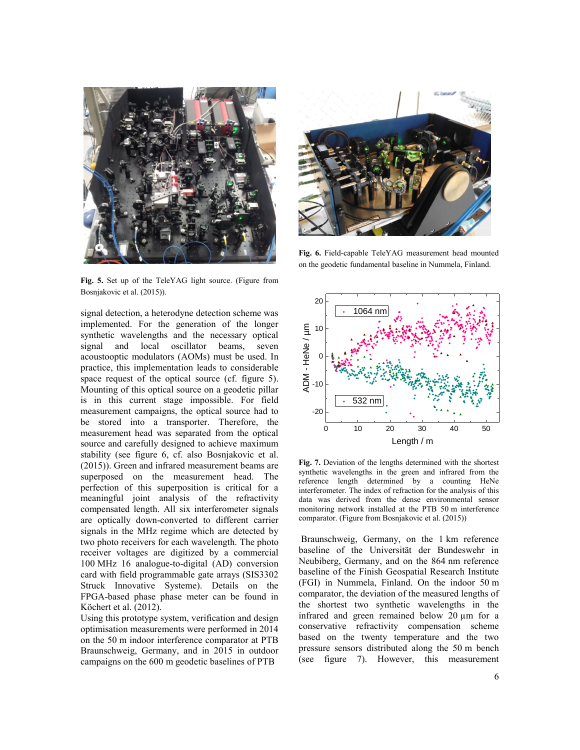

**Fig. 5.** Set up of the TeleYAG light source. (Figure from Bosnjakovic et al. (2015)).

signal detection, a heterodyne detection scheme was implemented. For the generation of the longer synthetic wavelengths and the necessary optical signal and local oscillator beams, seven acoustooptic modulators (AOMs) must be used. In practice, this implementation leads to considerable space request of the optical source (cf. figure 5). Mounting of this optical source on a geodetic pillar is in this current stage impossible. For field measurement campaigns, the optical source had to be stored into a transporter. Therefore, the measurement head was separated from the optical source and carefully designed to achieve maximum stability (see figure 6, cf. also Bosnjakovic et al. (2015)). Green and infrared measurement beams are superposed on the measurement head. The perfection of this superposition is critical for a meaningful joint analysis of the refractivity compensated length. All six interferometer signals are optically down-converted to different carrier signals in the MHz regime which are detected by two photo receivers for each wavelength. The photo receiver voltages are digitized by a commercial 100 MHz 16 analogue-to-digital (AD) conversion card with field programmable gate arrays (SIS3302 Struck Innovative Systeme). Details on the FPGA-based phase phase meter can be found in Köchert et al. (2012).

Using this prototype system, verification and design optimisation measurements were performed in 2014 on the 50 m indoor interference comparator at PTB Braunschweig, Germany, and in 2015 in outdoor campaigns on the 600 m geodetic baselines of PTB



**Fig. 6.** Field-capable TeleYAG measurement head mounted on the geodetic fundamental baseline in Nummela, Finland.



**Fig. 7.** Deviation of the lengths determined with the shortest synthetic wavelengths in the green and infrared from the reference length determined by a counting HeNe interferometer. The index of refraction for the analysis of this data was derived from the dense environmental sensor monitoring network installed at the PTB 50 m interference comparator. (Figure from Bosnjakovic et al. (2015))

Braunschweig, Germany, on the 1 km reference baseline of the Universität der Bundeswehr in Neubiberg, Germany, and on the 864 nm reference baseline of the Finish Geospatial Research Institute (FGI) in Nummela, Finland. On the indoor 50 m comparator, the deviation of the measured lengths of the shortest two synthetic wavelengths in the infrared and green remained below 20 µm for a conservative refractivity compensation scheme based on the twenty temperature and the two pressure sensors distributed along the 50 m bench (see figure 7). However, this measurement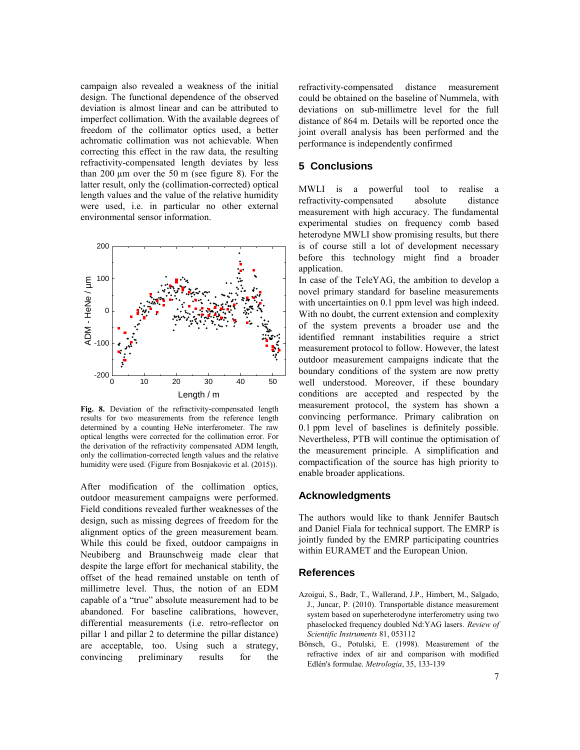campaign also revealed a weakness of the initial design. The functional dependence of the observed deviation is almost linear and can be attributed to imperfect collimation. With the available degrees of freedom of the collimator optics used, a better achromatic collimation was not achievable. When correcting this effect in the raw data, the resulting refractivity-compensated length deviates by less than  $200 \mu m$  over the 50 m (see figure 8). For the latter result, only the (collimation-corrected) optical length values and the value of the relative humidity were used, i.e. in particular no other external environmental sensor information.



**Fig. 8.** Deviation of the refractivity-compensated length results for two measurements from the reference length determined by a counting HeNe interferometer. The raw optical lengths were corrected for the collimation error. For the derivation of the refractivity compensated ADM length, only the collimation-corrected length values and the relative humidity were used. (Figure from Bosnjakovic et al. (2015)).

After modification of the collimation optics, outdoor measurement campaigns were performed. Field conditions revealed further weaknesses of the design, such as missing degrees of freedom for the alignment optics of the green measurement beam. While this could be fixed, outdoor campaigns in Neubiberg and Braunschweig made clear that despite the large effort for mechanical stability, the offset of the head remained unstable on tenth of millimetre level. Thus, the notion of an EDM capable of a "true" absolute measurement had to be abandoned. For baseline calibrations, however, differential measurements (i.e. retro-reflector on pillar 1 and pillar 2 to determine the pillar distance) are acceptable, too. Using such a strategy, convincing preliminary results for the

refractivity-compensated distance measurement could be obtained on the baseline of Nummela, with deviations on sub-millimetre level for the full distance of 864 m. Details will be reported once the joint overall analysis has been performed and the performance is independently confirmed

## **5 Conclusions**

MWLI is a powerful tool to realise a refractivity-compensated absolute distance measurement with high accuracy. The fundamental experimental studies on frequency comb based heterodyne MWLI show promising results, but there is of course still a lot of development necessary before this technology might find a broader application.

0 10 20 30 40 50 well understood. Moreover, if these boundary Length / m conditions are accepted and respected by the In case of the TeleYAG, the ambition to develop a novel primary standard for baseline measurements with uncertainties on 0.1 ppm level was high indeed. With no doubt, the current extension and complexity of the system prevents a broader use and the identified remnant instabilities require a strict measurement protocol to follow. However, the latest outdoor measurement campaigns indicate that the boundary conditions of the system are now pretty measurement protocol, the system has shown a convincing performance. Primary calibration on 0.1 ppm level of baselines is definitely possible. Nevertheless, PTB will continue the optimisation of the measurement principle. A simplification and compactification of the source has high priority to enable broader applications.

#### **Acknowledgments**

The authors would like to thank Jennifer Bautsch and Daniel Fiala for technical support. The EMRP is jointly funded by the EMRP participating countries within EURAMET and the European Union.

#### **References**

- Azoigui, S., Badr, T., Wallerand, J.P., Himbert, M., Salgado, J., Juncar, P. (2010). Transportable distance measurement system based on superheterodyne interferometry using two phaselocked frequency doubled Nd:YAG lasers. *Review of Scientific Instruments* 81, 053112
- Bönsch, G., Potulski, E. (1998). Measurement of the refractive index of air and comparison with modified Edlén's formulae. *Metrologia*, 35, 133-139